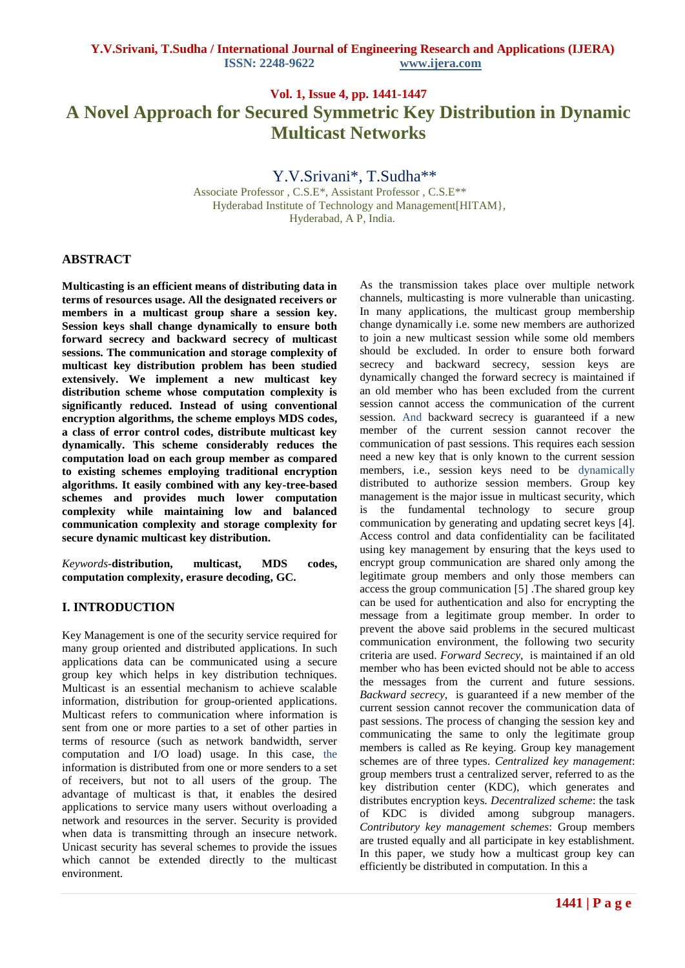# **Vol. 1, Issue 4, pp. 1441-1447 A Novel Approach for Secured Symmetric Key Distribution in Dynamic Multicast Networks**

Y.V.Srivani\*, T.Sudha\*\*

 Associate Professor , C.S.E\*, Assistant Professor , C.S.E\*\* Hyderabad Institute of Technology and Management[HITAM}, Hyderabad, A P, India.

# **ABSTRACT**

**Multicasting is an efficient means of distributing data in terms of resources usage. All the designated receivers or members in a multicast group share a session key. Session keys shall change dynamically to ensure both forward secrecy and backward secrecy of multicast sessions. The communication and storage complexity of multicast key distribution problem has been studied extensively. We implement a new multicast key distribution scheme whose computation complexity is significantly reduced. Instead of using conventional encryption algorithms, the scheme employs MDS codes, a class of error control codes, distribute multicast key dynamically. This scheme considerably reduces the computation load on each group member as compared to existing schemes employing traditional encryption algorithms. It easily combined with any key-tree-based schemes and provides much lower computation complexity while maintaining low and balanced communication complexity and storage complexity for secure dynamic multicast key distribution.**

*Keywords-***distribution, multicast, MDS codes, computation complexity, erasure decoding, GC.** 

# **I. INTRODUCTION**

Key Management is one of the security service required for many group oriented and distributed applications. In such applications data can be communicated using a secure group key which helps in key distribution techniques. Multicast is an essential mechanism to achieve scalable information, distribution for group-oriented applications. Multicast refers to communication where information is sent from one or more parties to a set of other parties in terms of resource (such as network bandwidth, server computation and I/O load) usage. In this case, the information is distributed from one or more senders to a set of receivers, but not to all users of the group. The advantage of multicast is that, it enables the desired applications to service many users without overloading a network and resources in the server. Security is provided when data is transmitting through an insecure network. Unicast security has several schemes to provide the issues which cannot be extended directly to the multicast environment.

As the transmission takes place over multiple network channels, multicasting is more vulnerable than unicasting. In many applications, the multicast group membership change dynamically i.e. some new members are authorized to join a new multicast session while some old members should be excluded. In order to ensure both forward secrecy and backward secrecy, session keys are dynamically changed the forward secrecy is maintained if an old member who has been excluded from the current session cannot access the communication of the current session. And backward secrecy is guaranteed if a new member of the current session cannot recover the communication of past sessions. This requires each session need a new key that is only known to the current session members, i.e., session keys need to be dynamically distributed to authorize session members. Group key management is the major issue in multicast security, which is the fundamental technology to secure group communication by generating and updating secret keys [4]. Access control and data confidentiality can be facilitated using key management by ensuring that the keys used to encrypt group communication are shared only among the legitimate group members and only those members can access the group communication [5] .The shared group key can be used for authentication and also for encrypting the message from a legitimate group member. In order to prevent the above said problems in the secured multicast communication environment, the following two security criteria are used. *Forward Secrecy*, is maintained if an old member who has been evicted should not be able to access the messages from the current and future sessions. *Backward secrecy*, is guaranteed if a new member of the current session cannot recover the communication data of past sessions. The process of changing the session key and communicating the same to only the legitimate group members is called as Re keying. Group key management schemes are of three types. *Centralized key management*: group members trust a centralized server, referred to as the key distribution center (KDC), which generates and distributes encryption keys. *Decentralized scheme*: the task of KDC is divided among subgroup managers. *Contributory key management schemes*: Group members are trusted equally and all participate in key establishment. In this paper, we study how a multicast group key can efficiently be distributed in computation. In this a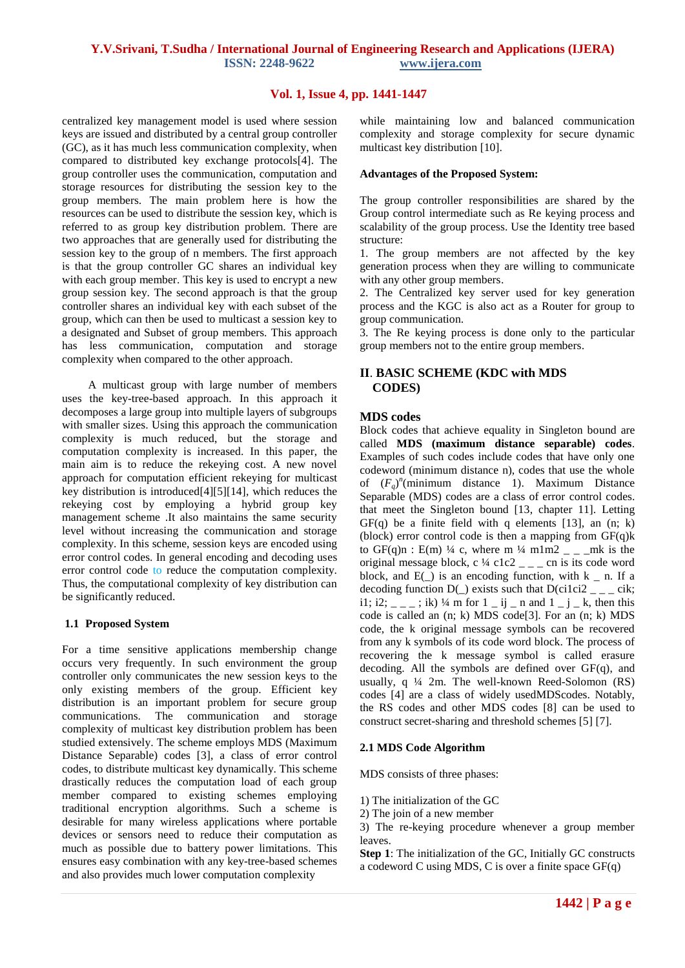# **Vol. 1, Issue 4, pp. 1441-1447**

centralized key management model is used where session keys are issued and distributed by a central group controller (GC), as it has much less communication complexity, when compared to distributed key exchange protocols[4]. The group controller uses the communication, computation and storage resources for distributing the session key to the group members. The main problem here is how the resources can be used to distribute the session key, which is referred to as group key distribution problem. There are two approaches that are generally used for distributing the session key to the group of n members. The first approach is that the group controller GC shares an individual key with each group member. This key is used to encrypt a new group session key. The second approach is that the group controller shares an individual key with each subset of the group, which can then be used to multicast a session key to a designated and Subset of group members. This approach has less communication, computation and storage complexity when compared to the other approach.

 A multicast group with large number of members uses the key-tree-based approach. In this approach it decomposes a large group into multiple layers of subgroups with smaller sizes. Using this approach the communication complexity is much reduced, but the storage and computation complexity is increased. In this paper, the main aim is to reduce the rekeying cost. A new novel approach for computation efficient rekeying for multicast key distribution is introduced[4][5][14], which reduces the rekeying cost by employing a hybrid group key management scheme .It also maintains the same security level without increasing the communication and storage complexity. In this scheme, session keys are encoded using error control codes. In general encoding and decoding uses error control code to reduce the computation complexity. Thus, the computational complexity of key distribution can be significantly reduced.

## **1.1 Proposed System**

For a time sensitive applications membership change occurs very frequently. In such environment the group controller only communicates the new session keys to the only existing members of the group. Efficient key distribution is an important problem for secure group communications. The communication and storage complexity of multicast key distribution problem has been studied extensively. The scheme employs MDS (Maximum Distance Separable) codes [3], a class of error control codes, to distribute multicast key dynamically. This scheme drastically reduces the computation load of each group member compared to existing schemes employing traditional encryption algorithms. Such a scheme is desirable for many wireless applications where portable devices or sensors need to reduce their computation as much as possible due to battery power limitations. This ensures easy combination with any key-tree-based schemes and also provides much lower computation complexity

while maintaining low and balanced communication complexity and storage complexity for secure dynamic multicast key distribution [10].

#### **Advantages of the Proposed System:**

The group controller responsibilities are shared by the Group control intermediate such as Re keying process and scalability of the group process. Use the Identity tree based structure:

1. The group members are not affected by the key generation process when they are willing to communicate with any other group members.

2. The Centralized key server used for key generation process and the KGC is also act as a Router for group to group communication.

3. The Re keying process is done only to the particular group members not to the entire group members.

# **II**. **BASIC SCHEME (KDC with MDS CODES)**

# **MDS codes**

Block codes that achieve equality in Singleton bound are called **MDS (maximum distance separable) codes**. Examples of such codes include codes that have only one codeword (minimum distance n), codes that use the whole of  $(F_q)^n$ (minimum distance 1). Maximum Distance Separable (MDS) codes are a class of error control codes. that meet the Singleton bound [13, chapter 11]. Letting  $GF(q)$  be a finite field with q elements [13], an  $(n; k)$ (block) error control code is then a mapping from  $GF(a)$ k to GF(q)n : E(m) ¼ c, where m ¼ m1m2  $_{-\, -}$  mk is the original message block, c  $\frac{1}{4}$  c1c2  $\frac{1}{2}$  cn is its code word block, and  $E(.)$  is an encoding function, with  $k$  \_ n. If a decoding function  $D($ ) exists such that  $D(cilci2$   $_{z}$   $_{z}$   $_{z}$  cik; i1; i2;  $\frac{1}{2}$   $=$   $\frac{1}{2}$ ; ik) ¼ m for 1  $\frac{1}{2}$  ij  $\frac{1}{2}$  n and 1  $\frac{1}{2}$   $\frac{1}{2}$  k, then this code is called an (n; k) MDS code[3]. For an (n; k) MDS code, the k original message symbols can be recovered from any k symbols of its code word block. The process of recovering the k message symbol is called erasure decoding. All the symbols are defined over  $GF(q)$ , and usually, q ¼ 2m. The well-known Reed-Solomon (RS) codes [4] are a class of widely usedMDScodes. Notably, the RS codes and other MDS codes [8] can be used to construct secret-sharing and threshold schemes [5] [7].

## **2.1 MDS Code Algorithm**

MDS consists of three phases:

1) The initialization of the GC

2) The join of a new member

3) The re-keying procedure whenever a group member leaves.

**Step 1**: The initialization of the GC, Initially GC constructs a codeword C using MDS, C is over a finite space GF(q)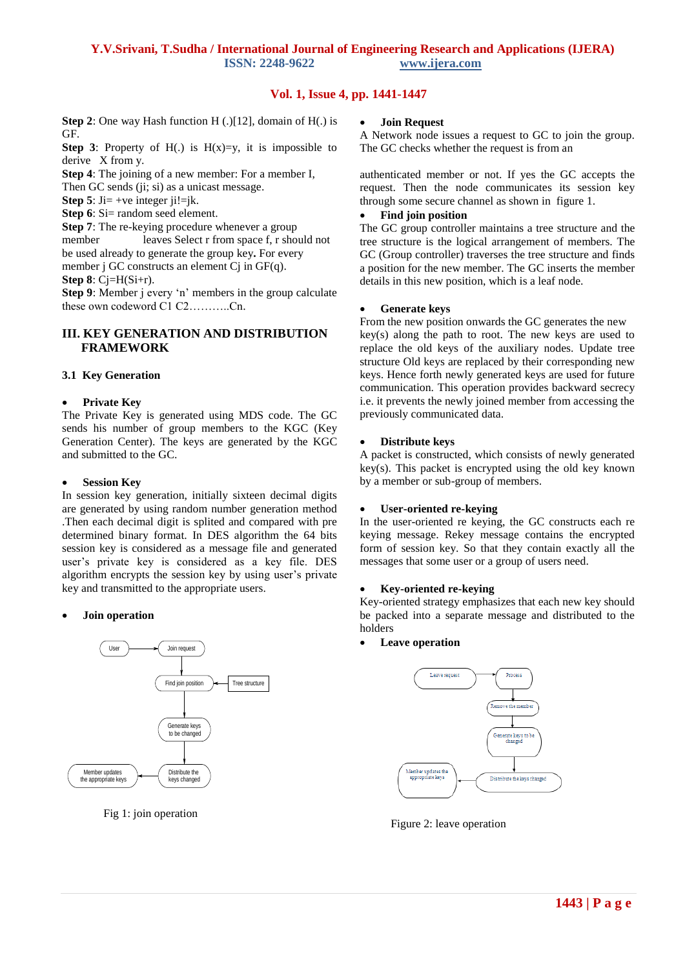# **Vol. 1, Issue 4, pp. 1441-1447**

**Step 2**: One way Hash function H (.)[12], domain of H(.) is GF.

**Step 3:** Property of H(.) is  $H(x)=v$ , it is impossible to derive X from y.

**Step 4**: The joining of a new member: For a member I,

Then GC sends (ii; si) as a unicast message.

**Step 5**:  $J = +ve$  integer  $i = k$ .

**Step 6**: Si= random seed element.

**Step 7**: The re-keying procedure whenever a group

member leaves Select r from space f, r should not be used already to generate the group key**.** For every

member j GC constructs an element Cj in GF(q).

**Step 8**: Cj=H(Si+r).

Step 9: Member j every 'n' members in the group calculate these own codeword C1 C2………..Cn.

# **III. KEY GENERATION AND DISTRIBUTION FRAMEWORK**

#### **3.1 Key Generation**

#### **Private Key**

The Private Key is generated using MDS code. The GC sends his number of group members to the KGC (Key Generation Center). The keys are generated by the KGC and submitted to the GC.

#### **Session Key**

In session key generation, initially sixteen decimal digits are generated by using random number generation method .Then each decimal digit is splited and compared with pre determined binary format. In DES algorithm the 64 bits session key is considered as a message file and generated user's private key is considered as a key file. DES algorithm encrypts the session key by using user's private key and transmitted to the appropriate users.

## **Join operation**



Fig 1: join operation

#### **Join Request**

A Network node issues a request to GC to join the group. The GC checks whether the request is from an

authenticated member or not. If yes the GC accepts the request. Then the node communicates its session key through some secure channel as shown in figure 1.

### **Find join position**

The GC group controller maintains a tree structure and the tree structure is the logical arrangement of members. The GC (Group controller) traverses the tree structure and finds a position for the new member. The GC inserts the member details in this new position, which is a leaf node.

#### **Generate keys**

From the new position onwards the GC generates the new key(s) along the path to root. The new keys are used to replace the old keys of the auxiliary nodes. Update tree structure Old keys are replaced by their corresponding new keys. Hence forth newly generated keys are used for future communication. This operation provides backward secrecy i.e. it prevents the newly joined member from accessing the previously communicated data.

#### **Distribute keys**

A packet is constructed, which consists of newly generated key(s). This packet is encrypted using the old key known by a member or sub-group of members.

## **User-oriented re-keying**

In the user-oriented re keying, the GC constructs each re keying message. Rekey message contains the encrypted form of session key. So that they contain exactly all the messages that some user or a group of users need.

## **Key-oriented re-keying**

Key-oriented strategy emphasizes that each new key should be packed into a separate message and distributed to the holders

## **Leave operation**



Figure 2: leave operation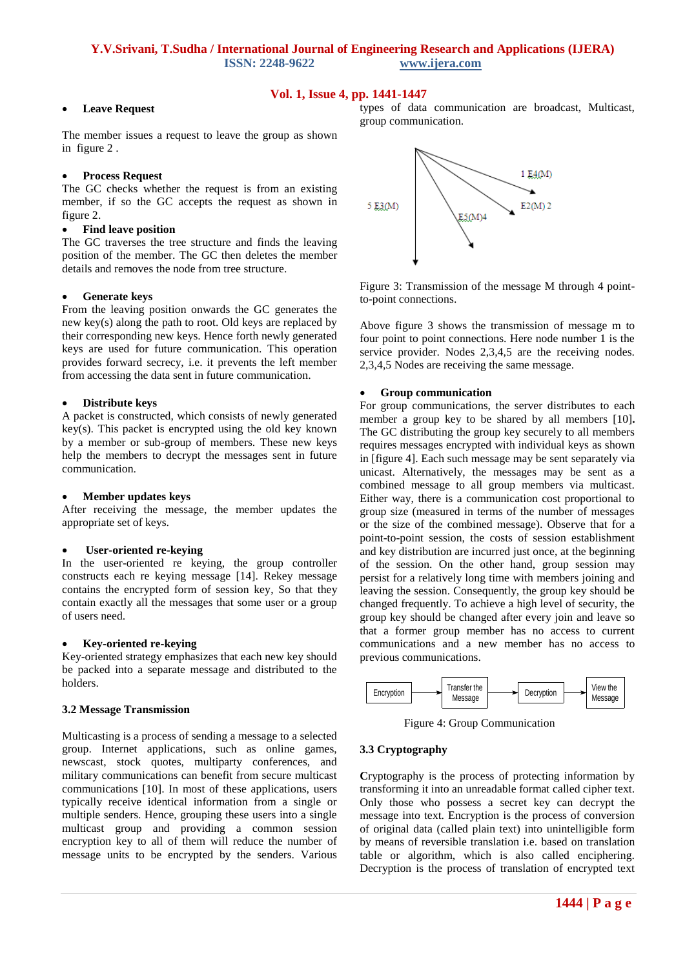# **Vol. 1, Issue 4, pp. 1441-1447**

#### **Leave Request**

The member issues a request to leave the group as shown in figure 2 .

#### **Process Request**

The GC checks whether the request is from an existing member, if so the GC accepts the request as shown in figure 2.

#### **Find leave position**

The GC traverses the tree structure and finds the leaving position of the member. The GC then deletes the member details and removes the node from tree structure.

#### **Generate keys**

From the leaving position onwards the GC generates the new key(s) along the path to root. Old keys are replaced by their corresponding new keys. Hence forth newly generated keys are used for future communication. This operation provides forward secrecy, i.e. it prevents the left member from accessing the data sent in future communication.

#### **Distribute keys**

A packet is constructed, which consists of newly generated key(s). This packet is encrypted using the old key known by a member or sub-group of members. These new keys help the members to decrypt the messages sent in future communication.

#### **Member updates keys**

After receiving the message, the member updates the appropriate set of keys.

#### **User-oriented re-keying**

In the user-oriented re keying, the group controller constructs each re keying message [14]. Rekey message contains the encrypted form of session key, So that they contain exactly all the messages that some user or a group of users need.

#### **Key-oriented re-keying**

Key-oriented strategy emphasizes that each new key should be packed into a separate message and distributed to the holders.

#### **3.2 Message Transmission**

Multicasting is a process of sending a message to a selected group. Internet applications, such as online games, newscast, stock quotes, multiparty conferences, and military communications can benefit from secure multicast communications [10]. In most of these applications, users typically receive identical information from a single or multiple senders. Hence, grouping these users into a single multicast group and providing a common session encryption key to all of them will reduce the number of message units to be encrypted by the senders. Various types of data communication are broadcast, Multicast, group communication.



Figure 3: Transmission of the message M through 4 pointto-point connections.

Above figure 3 shows the transmission of message m to four point to point connections. Here node number 1 is the service provider. Nodes 2,3,4,5 are the receiving nodes. 2,3,4,5 Nodes are receiving the same message.

#### **Group communication**

For group communications, the server distributes to each member a group key to be shared by all members [10]**.**  The GC distributing the group key securely to all members requires messages encrypted with individual keys as shown in [figure 4]. Each such message may be sent separately via unicast. Alternatively, the messages may be sent as a combined message to all group members via multicast. Either way, there is a communication cost proportional to group size (measured in terms of the number of messages or the size of the combined message). Observe that for a point-to-point session, the costs of session establishment and key distribution are incurred just once, at the beginning of the session. On the other hand, group session may persist for a relatively long time with members joining and leaving the session. Consequently, the group key should be changed frequently. To achieve a high level of security, the group key should be changed after every join and leave so that a former group member has no access to current communications and a new member has no access to previous communications.



Figure 4: Group Communication

#### **3.3 Cryptography**

**C**ryptography is the process of protecting information by transforming it into an unreadable format called cipher text. Only those who possess a secret key can decrypt the message into text. Encryption is the process of conversion of original data (called plain text) into unintelligible form by means of reversible translation i.e. based on translation table or algorithm, which is also called enciphering. Decryption is the process of translation of encrypted text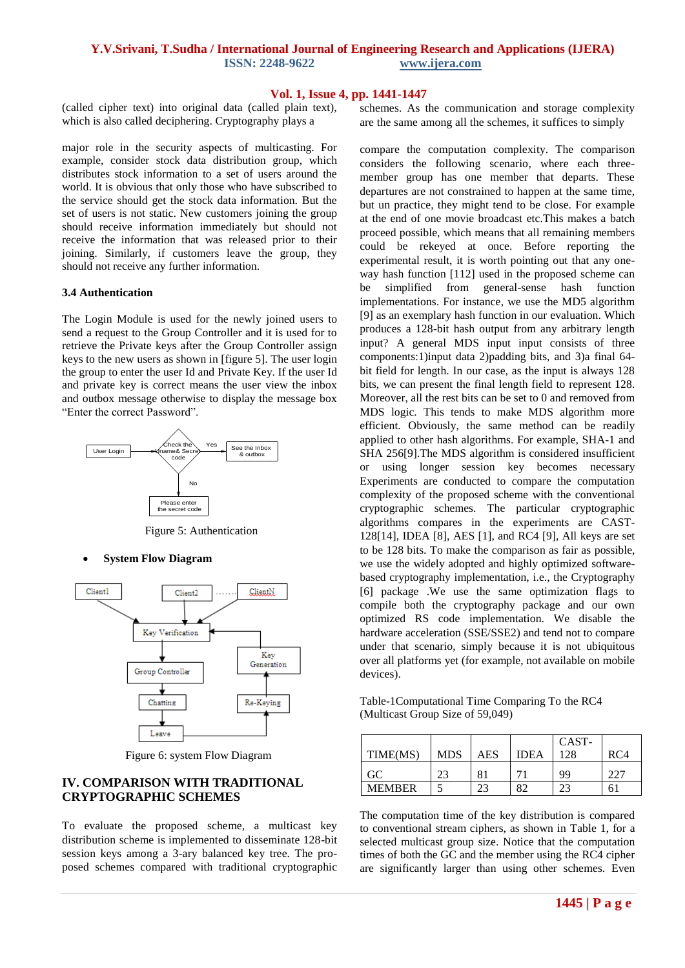# **Vol. 1, Issue 4, pp. 1441-1447**

(called cipher text) into original data (called plain text), which is also called deciphering. Cryptography plays a

major role in the security aspects of multicasting. For example, consider stock data distribution group, which distributes stock information to a set of users around the world. It is obvious that only those who have subscribed to the service should get the stock data information. But the set of users is not static. New customers joining the group should receive information immediately but should not receive the information that was released prior to their joining. Similarly, if customers leave the group, they should not receive any further information.

#### **3.4 Authentication**

The Login Module is used for the newly joined users to send a request to the Group Controller and it is used for to retrieve the Private keys after the Group Controller assign keys to the new users as shown in [figure 5]. The user login the group to enter the user Id and Private Key. If the user Id and private key is correct means the user view the inbox and outbox message otherwise to display the message box "Enter the correct Password".



Figure 5: Authentication

**System Flow Diagram**



Figure 6: system Flow Diagram

# **IV. COMPARISON WITH TRADITIONAL CRYPTOGRAPHIC SCHEMES**

To evaluate the proposed scheme, a multicast key distribution scheme is implemented to disseminate 128-bit session keys among a 3-ary balanced key tree. The proposed schemes compared with traditional cryptographic

schemes. As the communication and storage complexity are the same among all the schemes, it suffices to simply

compare the computation complexity. The comparison considers the following scenario, where each threemember group has one member that departs. These departures are not constrained to happen at the same time, but un practice, they might tend to be close. For example at the end of one movie broadcast etc.This makes a batch proceed possible, which means that all remaining members could be rekeyed at once. Before reporting the experimental result, it is worth pointing out that any oneway hash function [112] used in the proposed scheme can be simplified from general-sense hash function implementations. For instance, we use the MD5 algorithm [9] as an exemplary hash function in our evaluation. Which produces a 128-bit hash output from any arbitrary length input? A general MDS input input consists of three components:1)input data 2)padding bits, and 3)a final 64 bit field for length. In our case, as the input is always 128 bits, we can present the final length field to represent 128. Moreover, all the rest bits can be set to 0 and removed from MDS logic. This tends to make MDS algorithm more efficient. Obviously, the same method can be readily applied to other hash algorithms. For example, SHA-1 and SHA 256[9].The MDS algorithm is considered insufficient or using longer session key becomes necessary Experiments are conducted to compare the computation complexity of the proposed scheme with the conventional cryptographic schemes. The particular cryptographic algorithms compares in the experiments are CAST-128[14], IDEA [8], AES [1], and RC4 [9], All keys are set to be 128 bits. To make the comparison as fair as possible, we use the widely adopted and highly optimized softwarebased cryptography implementation, i.e., the Cryptography [6] package .We use the same optimization flags to compile both the cryptography package and our own optimized RS code implementation. We disable the hardware acceleration (SSE/SSE2) and tend not to compare under that scenario, simply because it is not ubiquitous over all platforms yet (for example, not available on mobile devices).

Table-1Computational Time Comparing To the RC4 (Multicast Group Size of 59,049)

| TIME(MS)      | <b>MDS</b> | AES | <b>IDEA</b> | CAST-<br>128 | RC4 |
|---------------|------------|-----|-------------|--------------|-----|
| GC            | 23         | 81  |             | 99           | 227 |
| <b>MEMBER</b> |            |     | ΩC          | າາ           |     |

The computation time of the key distribution is compared to conventional stream ciphers, as shown in Table 1, for a selected multicast group size. Notice that the computation times of both the GC and the member using the RC4 cipher are significantly larger than using other schemes. Even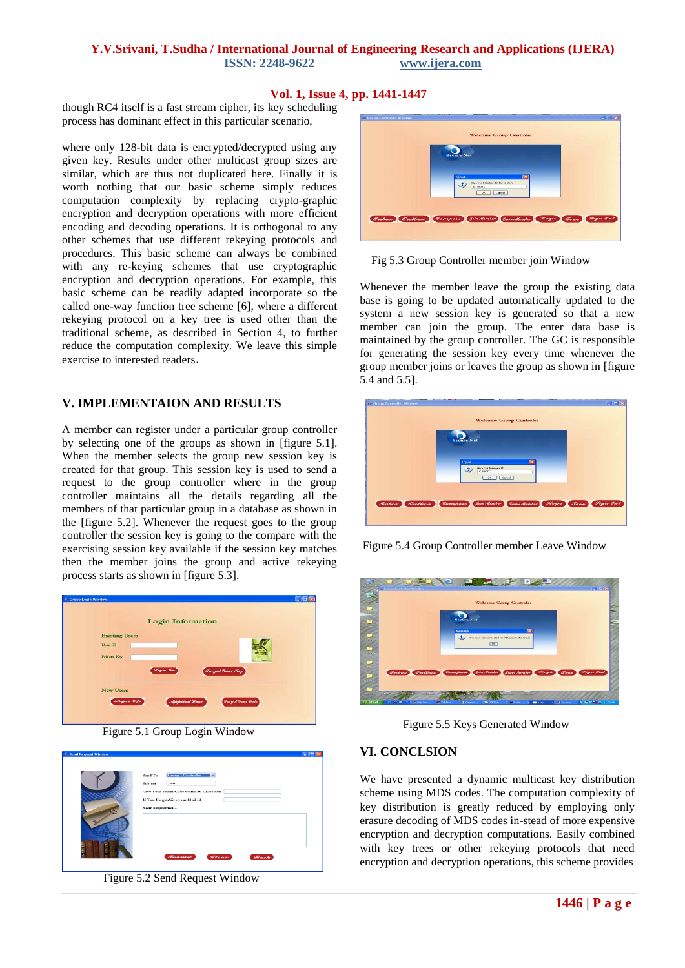# **Vol. 1, Issue 4, pp. 1441-1447**

though RC4 itself is a fast stream cipher, its key scheduling process has dominant effect in this particular scenario,

where only 128-bit data is encrypted/decrypted using any given key. Results under other multicast group sizes are similar, which are thus not duplicated here. Finally it is worth nothing that our basic scheme simply reduces computation complexity by replacing crypto-graphic encryption and decryption operations with more efficient encoding and decoding operations. It is orthogonal to any other schemes that use different rekeying protocols and procedures. This basic scheme can always be combined with any re-keying schemes that use cryptographic encryption and decryption operations. For example, this basic scheme can be readily adapted incorporate so the called one-way function tree scheme [6], where a different rekeying protocol on a key tree is used other than the traditional scheme, as described in Section 4, to further reduce the computation complexity. We leave this simple exercise to interested readers.

# **V. IMPLEMENTAION AND RESULTS**

A member can register under a particular group controller by selecting one of the groups as shown in [figure 5.1]. When the member selects the group new session key is created for that group. This session key is used to send a request to the group controller where in the group controller maintains all the details regarding all the members of that particular group in a database as shown in the [figure 5.2]. Whenever the request goes to the group controller the session key is going to the compare with the exercising session key available if the session key matches then the member joins the group and active rekeying process starts as shown in [figure 5.3].



Figure 5.1 Group Login Window



Figure 5.2 Send Request Window

| <b>Welcome Group Controler</b><br><b>Secure Net</b>                                |  |
|------------------------------------------------------------------------------------|--|
|                                                                                    |  |
|                                                                                    |  |
|                                                                                    |  |
| $\overline{\mathbf{X}}$<br>Input<br>Give the Neisber ID for to Jon<br>Ŧ.<br>GIUSBE |  |
| OK Cancel                                                                          |  |
| Inbox Outbox Compase Join Member Gene Member Foges Free Fign Out                   |  |
|                                                                                    |  |

Fig 5.3 Group Controller member join Window

Whenever the member leave the group the existing data base is going to be updated automatically updated to the system a new session key is generated so that a new member can join the group. The enter data base is maintained by the group controller. The GC is responsible for generating the session key every time whenever the group member joins or leaves the group as shown in [figure 5.4 and 5.5].



Figure 5.4 Group Controller member Leave Window



Figure 5.5 Keys Generated Window

## **VI. CONCLSION**

We have presented a dynamic multicast key distribution scheme using MDS codes. The computation complexity of key distribution is greatly reduced by employing only erasure decoding of MDS codes in-stead of more expensive encryption and decryption computations. Easily combined with key trees or other rekeying protocols that need encryption and decryption operations, this scheme provides